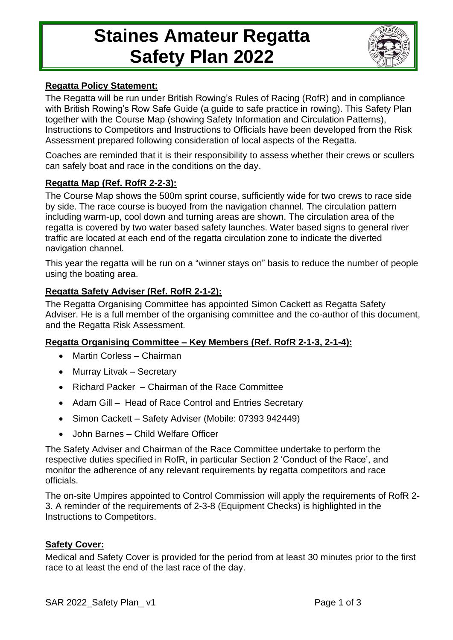# **Staines Amateur Regatta Safety Plan 2022**



### **Regatta Policy Statement:**

The Regatta will be run under British Rowing's Rules of Racing (RofR) and in compliance with British Rowing's Row Safe Guide (a guide to safe practice in rowing). This Safety Plan together with the Course Map (showing Safety Information and Circulation Patterns), Instructions to Competitors and Instructions to Officials have been developed from the Risk Assessment prepared following consideration of local aspects of the Regatta.

Coaches are reminded that it is their responsibility to assess whether their crews or scullers can safely boat and race in the conditions on the day.

## **Regatta Map (Ref. RofR 2-2-3):**

The Course Map shows the 500m sprint course, sufficiently wide for two crews to race side by side. The race course is buoyed from the navigation channel. The circulation pattern including warm-up, cool down and turning areas are shown. The circulation area of the regatta is covered by two water based safety launches. Water based signs to general river traffic are located at each end of the regatta circulation zone to indicate the diverted navigation channel.

This year the regatta will be run on a "winner stays on" basis to reduce the number of people using the boating area.

## **Regatta Safety Adviser (Ref. RofR 2-1-2):**

The Regatta Organising Committee has appointed Simon Cackett as Regatta Safety Adviser. He is a full member of the organising committee and the co-author of this document, and the Regatta Risk Assessment.

### **Regatta Organising Committee – Key Members (Ref. RofR 2-1-3, 2-1-4):**

- Martin Corless Chairman
- Murray Litvak Secretary
- Richard Packer Chairman of the Race Committee
- Adam Gill Head of Race Control and Entries Secretary
- Simon Cackett Safety Adviser (Mobile: 07393 942449)
- John Barnes Child Welfare Officer

The Safety Adviser and Chairman of the Race Committee undertake to perform the respective duties specified in RofR, in particular Section 2 'Conduct of the Race', and monitor the adherence of any relevant requirements by regatta competitors and race officials.

The on-site Umpires appointed to Control Commission will apply the requirements of RofR 2- 3. A reminder of the requirements of 2-3-8 (Equipment Checks) is highlighted in the Instructions to Competitors.

### **Safety Cover:**

Medical and Safety Cover is provided for the period from at least 30 minutes prior to the first race to at least the end of the last race of the day.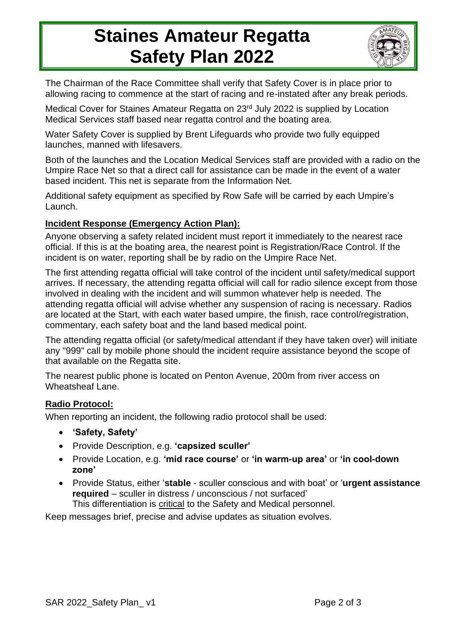## **Staines Amateur Regatta Safety Plan 2022**



The Chairman of the Race Committee shall verify that Safety Cover is in place prior to allowing racing to commence at the start of racing and re-instated after any break periods.

Medical Cover for Staines Amateur Regatta on 23<sup>rd</sup> July 2022 is supplied by Location Medical Services staff based near regatta control and the boating area.

Water Safety Cover is supplied by Brent Lifeguards who provide two fully equipped launches, manned with lifesavers.

Both of the launches and the Location Medical Services staff are provided with a radio on the Umpire Race Net so that a direct call for assistance can be made in the event of a water based incident. This net is separate from the Information Net.

Additional safety equipment as specified by Row Safe will be carried by each Umpire's Launch.

## **Incident Response (Emergency Action Plan):**

Anyone observing a safety related incident must report it immediately to the nearest race official. If this is at the boating area, the nearest point is Registration/Race Control. If the incident is on water, reporting shall be by radio on the Umpire Race Net.

The first attending regatta official will take control of the incident until safety/medical support arrives. If necessary, the attending regatta official will call for radio silence except from those involved in dealing with the incident and will summon whatever help is needed. The attending regatta official will advise whether any suspension of racing is necessary. Radios are located at the Start, with each water based umpire, the finish, race control/registration, commentary, each safety boat and the land based medical point.

The attending regatta official (or safety/medical attendant if they have taken over) will initiate any "999" call by mobile phone should the incident require assistance beyond the scope of that available on the Regatta site.

The nearest public phone is located on Penton Avenue, 200m from river access on Wheatsheaf Lane.

### **Radio Protocol:**

When reporting an incident, the following radio protocol shall be used:

- **'Safety, Safety'**
- Provide Description, e.g. **'capsized sculler'**
- Provide Location, e.g. **'mid race course'** or **'in warm-up area'** or **'in cool-down zone'**
- Provide Status, either '**stable** sculler conscious and with boat' or '**urgent assistance required** – sculler in distress / unconscious / not surfaced'

This differentiation is critical to the Safety and Medical personnel.

Keep messages brief, precise and advise updates as situation evolves.